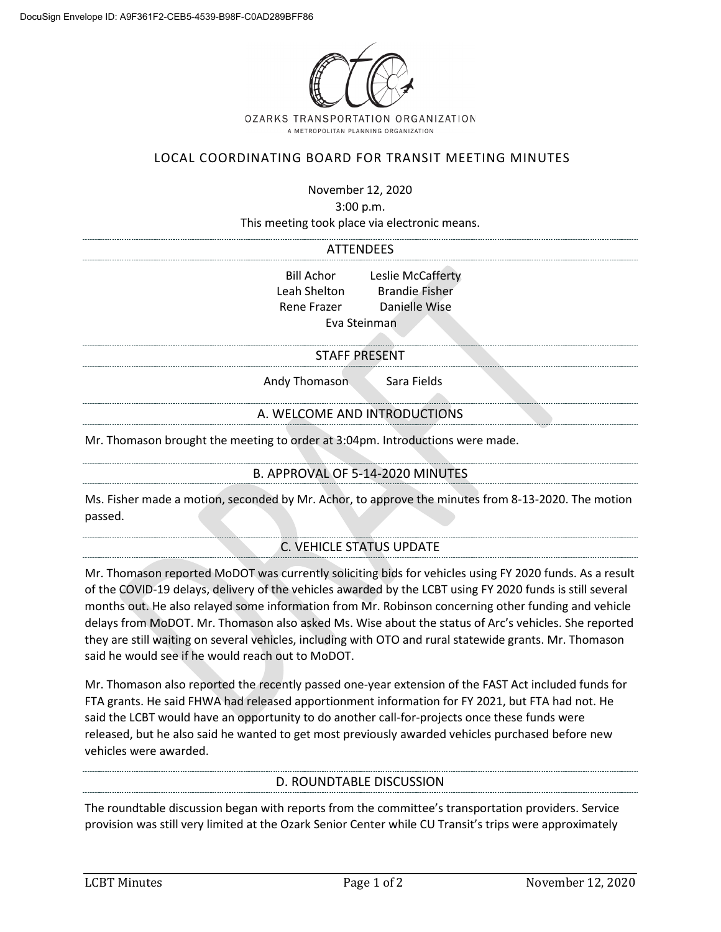

# LOCAL COORDINATING BOARD FOR TRANSIT MEETING MINUTES

November 12, 2020

3:00 p.m.

This meeting took place via electronic means.

#### ATTENDEES

Bill Achor Leslie McCafferty Leah Shelton Brandie Fisher Rene Frazer Danielle Wise Eva Steinman

#### STAFF PRESENT

Andy Thomason Sara Fields

### A. WELCOME AND INTRODUCTIONS

Mr. Thomason brought the meeting to order at 3:04pm. Introductions were made.

### B. APPROVAL OF 5-14-2020 MINUTES

Ms. Fisher made a motion, seconded by Mr. Achor, to approve the minutes from 8-13-2020. The motion passed.

# C. VEHICLE STATUS UPDATE

Mr. Thomason reported MoDOT was currently soliciting bids for vehicles using FY 2020 funds. As a result of the COVID-19 delays, delivery of the vehicles awarded by the LCBT using FY 2020 funds is still several months out. He also relayed some information from Mr. Robinson concerning other funding and vehicle delays from MoDOT. Mr. Thomason also asked Ms. Wise about the status of Arc's vehicles. She reported they are still waiting on several vehicles, including with OTO and rural statewide grants. Mr. Thomason said he would see if he would reach out to MoDOT.

Mr. Thomason also reported the recently passed one-year extension of the FAST Act included funds for FTA grants. He said FHWA had released apportionment information for FY 2021, but FTA had not. He said the LCBT would have an opportunity to do another call-for-projects once these funds were released, but he also said he wanted to get most previously awarded vehicles purchased before new vehicles were awarded.

### D. ROUNDTABLE DISCUSSION

The roundtable discussion began with reports from the committee's transportation providers. Service provision was still very limited at the Ozark Senior Center while CU Transit's trips were approximately